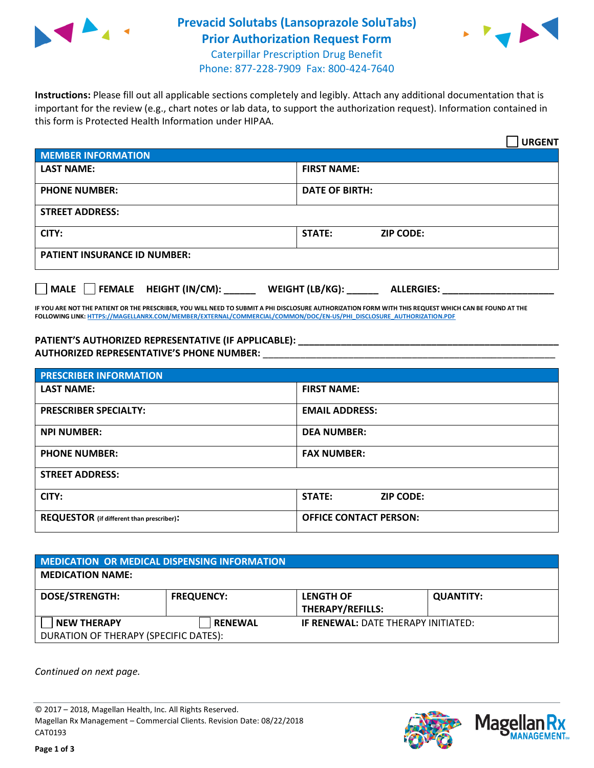

## **Prevacid Solutabs (Lansoprazole SoluTabs) Prior Authorization Request Form** Caterpillar Prescription Drug Benefit



Phone: 877-228-7909 Fax: 800-424-7640

**Instructions:** Please fill out all applicable sections completely and legibly. Attach any additional documentation that is important for the review (e.g., chart notes or lab data, to support the authorization request). Information contained in this form is Protected Health Information under HIPAA.

|                                            | <b>URGENT</b>                        |  |
|--------------------------------------------|--------------------------------------|--|
| <b>MEMBER INFORMATION</b>                  |                                      |  |
| <b>LAST NAME:</b>                          | <b>FIRST NAME:</b>                   |  |
| <b>PHONE NUMBER:</b>                       | <b>DATE OF BIRTH:</b>                |  |
| <b>STREET ADDRESS:</b>                     |                                      |  |
| CITY:                                      | STATE:<br><b>ZIP CODE:</b>           |  |
| <b>PATIENT INSURANCE ID NUMBER:</b>        |                                      |  |
| FEMALE HEIGHT (IN/CM):<br>$ $ MALE $ $ $ $ | WEIGHT (LB/KG):<br><b>ALLERGIES:</b> |  |

**IF YOU ARE NOT THE PATIENT OR THE PRESCRIBER, YOU WILL NEED TO SUBMIT A PHI DISCLOSURE AUTHORIZATION FORM WITH THIS REQUEST WHICH CAN BE FOUND AT THE FOLLOWING LINK[: HTTPS://MAGELLANRX.COM/MEMBER/EXTERNAL/COMMERCIAL/COMMON/DOC/EN-US/PHI\\_DISCLOSURE\\_AUTHORIZATION.PDF](https://magellanrx.com/member/external/commercial/common/doc/en-us/PHI_Disclosure_Authorization.pdf)**

**PATIENT'S AUTHORIZED REPRESENTATIVE (IF APPLICABLE): \_\_\_\_\_\_\_\_\_\_\_\_\_\_\_\_\_\_\_\_\_\_\_\_\_\_\_\_\_\_\_\_\_\_\_\_\_\_\_\_\_\_\_\_\_\_\_\_\_ AUTHORIZED REPRESENTATIVE'S PHONE NUMBER:** \_\_\_\_\_\_\_\_\_\_\_\_\_\_\_\_\_\_\_\_\_\_\_\_\_\_\_\_\_\_\_\_\_\_\_\_\_\_\_\_\_\_\_\_\_\_\_\_\_\_\_\_\_\_\_

| <b>PRESCRIBER INFORMATION</b>             |                                   |  |  |  |
|-------------------------------------------|-----------------------------------|--|--|--|
| <b>LAST NAME:</b>                         | <b>FIRST NAME:</b>                |  |  |  |
| <b>PRESCRIBER SPECIALTY:</b>              | <b>EMAIL ADDRESS:</b>             |  |  |  |
| <b>NPI NUMBER:</b>                        | <b>DEA NUMBER:</b>                |  |  |  |
| <b>PHONE NUMBER:</b>                      | <b>FAX NUMBER:</b>                |  |  |  |
| <b>STREET ADDRESS:</b>                    |                                   |  |  |  |
| CITY:                                     | <b>STATE:</b><br><b>ZIP CODE:</b> |  |  |  |
| REQUESTOR (if different than prescriber): | <b>OFFICE CONTACT PERSON:</b>     |  |  |  |

| <b>MEDICATION OR MEDICAL DISPENSING INFORMATION</b> |                   |                                             |                  |  |
|-----------------------------------------------------|-------------------|---------------------------------------------|------------------|--|
| <b>MEDICATION NAME:</b>                             |                   |                                             |                  |  |
| <b>DOSE/STRENGTH:</b>                               | <b>FREQUENCY:</b> | <b>LENGTH OF</b><br><b>THERAPY/REFILLS:</b> | <b>QUANTITY:</b> |  |
| <b>NEW THERAPY</b>                                  | <b>RENEWAL</b>    | <b>IF RENEWAL: DATE THERAPY INITIATED:</b>  |                  |  |
| DURATION OF THERAPY (SPECIFIC DATES):               |                   |                                             |                  |  |

*Continued on next page.*

© 2017 – 2018, Magellan Health, Inc. All Rights Reserved. Magellan Rx Management – Commercial Clients. Revision Date: 08/22/2018 CAT0193



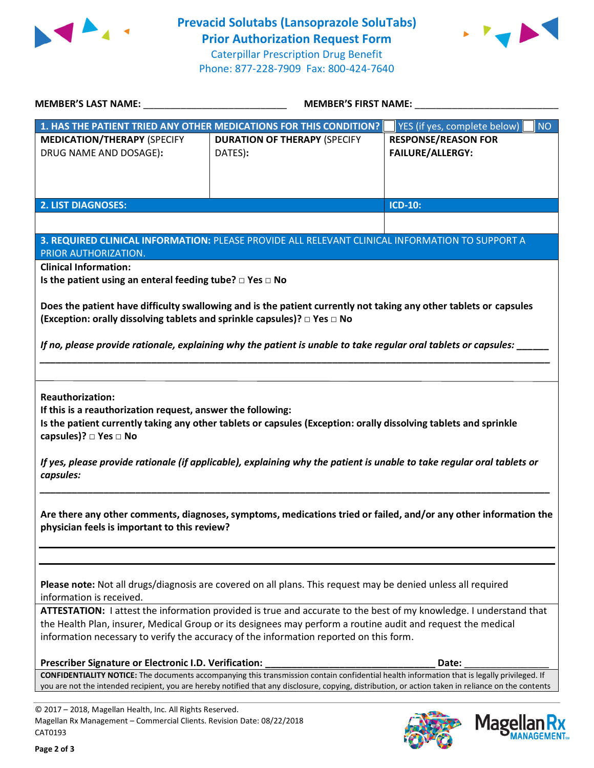



| <b>MEMBER'S LAST NAME:</b> NAME:                                                                  | MEMBER'S FIRST NAME:                                                                                                                                                                                                                                                                               |                                                                                                                  |  |
|---------------------------------------------------------------------------------------------------|----------------------------------------------------------------------------------------------------------------------------------------------------------------------------------------------------------------------------------------------------------------------------------------------------|------------------------------------------------------------------------------------------------------------------|--|
|                                                                                                   | 1. HAS THE PATIENT TRIED ANY OTHER MEDICATIONS FOR THIS CONDITION?                                                                                                                                                                                                                                 | YES (if yes, complete below)<br><b>NO</b>                                                                        |  |
| <b>MEDICATION/THERAPY (SPECIFY</b>                                                                | <b>DURATION OF THERAPY (SPECIFY</b>                                                                                                                                                                                                                                                                | <b>RESPONSE/REASON FOR</b>                                                                                       |  |
| DRUG NAME AND DOSAGE):                                                                            | DATES):                                                                                                                                                                                                                                                                                            | <b>FAILURE/ALLERGY:</b>                                                                                          |  |
|                                                                                                   |                                                                                                                                                                                                                                                                                                    |                                                                                                                  |  |
|                                                                                                   |                                                                                                                                                                                                                                                                                                    |                                                                                                                  |  |
| <b>2. LIST DIAGNOSES:</b>                                                                         |                                                                                                                                                                                                                                                                                                    | <b>ICD-10:</b>                                                                                                   |  |
|                                                                                                   |                                                                                                                                                                                                                                                                                                    |                                                                                                                  |  |
|                                                                                                   |                                                                                                                                                                                                                                                                                                    |                                                                                                                  |  |
| PRIOR AUTHORIZATION.                                                                              | 3. REQUIRED CLINICAL INFORMATION: PLEASE PROVIDE ALL RELEVANT CLINICAL INFORMATION TO SUPPORT A                                                                                                                                                                                                    |                                                                                                                  |  |
| <b>Clinical Information:</b>                                                                      |                                                                                                                                                                                                                                                                                                    |                                                                                                                  |  |
| Is the patient using an enteral feeding tube? $\square$ Yes $\square$ No                          |                                                                                                                                                                                                                                                                                                    |                                                                                                                  |  |
|                                                                                                   |                                                                                                                                                                                                                                                                                                    |                                                                                                                  |  |
| (Exception: orally dissolving tablets and sprinkle capsules)? □ Yes □ No                          | If no, please provide rationale, explaining why the patient is unable to take regular oral tablets or capsules:                                                                                                                                                                                    |                                                                                                                  |  |
| If this is a reauthorization request, answer the following:<br>capsules)? □ Yes □ No<br>capsules: | Is the patient currently taking any other tablets or capsules (Exception: orally dissolving tablets and sprinkle<br>If yes, please provide rationale (if applicable), explaining why the patient is unable to take regular oral tablets or                                                         |                                                                                                                  |  |
| physician feels is important to this review?                                                      |                                                                                                                                                                                                                                                                                                    | Are there any other comments, diagnoses, symptoms, medications tried or failed, and/or any other information the |  |
| information is received.                                                                          | Please note: Not all drugs/diagnosis are covered on all plans. This request may be denied unless all required                                                                                                                                                                                      |                                                                                                                  |  |
|                                                                                                   | ATTESTATION: I attest the information provided is true and accurate to the best of my knowledge. I understand that                                                                                                                                                                                 |                                                                                                                  |  |
|                                                                                                   | the Health Plan, insurer, Medical Group or its designees may perform a routine audit and request the medical<br>information necessary to verify the accuracy of the information reported on this form.                                                                                             |                                                                                                                  |  |
| Prescriber Signature or Electronic I.D. Verification:                                             |                                                                                                                                                                                                                                                                                                    | Date:                                                                                                            |  |
|                                                                                                   | CONFIDENTIALITY NOTICE: The documents accompanying this transmission contain confidential health information that is legally privileged. If<br>you are not the intended recipient, you are hereby notified that any disclosure, copying, distribution, or action taken in reliance on the contents |                                                                                                                  |  |
| © 2017 - 2018, Magellan Health, Inc. All Rights Reserved.                                         |                                                                                                                                                                                                                                                                                                    |                                                                                                                  |  |
| Magellan Rx Management - Commercial Clients. Revision Date: 08/22/2018                            |                                                                                                                                                                                                                                                                                                    | <b>Mage</b>                                                                                                      |  |
| CAT0193                                                                                           |                                                                                                                                                                                                                                                                                                    |                                                                                                                  |  |